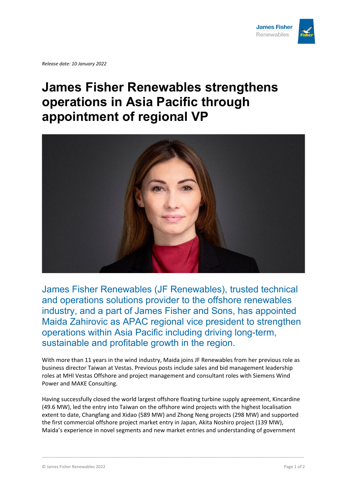

*Release date: 10 January 2022*

## **James Fisher Renewables strengthens operations in Asia Pacific through appointment of regional VP**



James Fisher Renewables (JF Renewables), trusted technical and operations solutions provider to the offshore renewables industry, and a part of James Fisher and Sons, has appointed Maida Zahirovic as APAC regional vice president to strengthen operations within Asia Pacific including driving long-term, sustainable and profitable growth in the region.

With more than 11 years in the wind industry, Maida joins JF Renewables from her previous role as business director Taiwan at Vestas. Previous posts include sales and bid management leadership roles at MHI Vestas Offshore and project management and consultant roles with Siemens Wind Power and MAKE Consulting.

Having successfully closed the world largest offshore floating turbine supply agreement, Kincardine (49.6 MW), led the entry into Taiwan on the offshore wind projects with the highest localisation extent to date, Changfang and Xidao (589 MW) and Zhong Neng projects (298 MW) and supported the first commercial offshore project market entry in Japan, Akita Noshiro project (139 MW), Maida's experience in novel segments and new market entries and understanding of government

\_\_\_\_\_\_\_\_\_\_\_\_\_\_\_\_\_\_\_\_\_\_\_\_\_\_\_\_\_\_\_\_\_\_\_\_\_\_\_\_\_\_\_\_\_\_\_\_\_\_\_\_\_\_\_\_\_\_\_\_\_\_\_\_\_\_\_\_\_\_\_\_\_\_\_\_\_\_\_\_\_\_\_\_\_\_\_\_\_\_\_\_\_\_\_\_\_\_\_\_\_\_\_\_\_\_\_\_\_\_\_\_\_